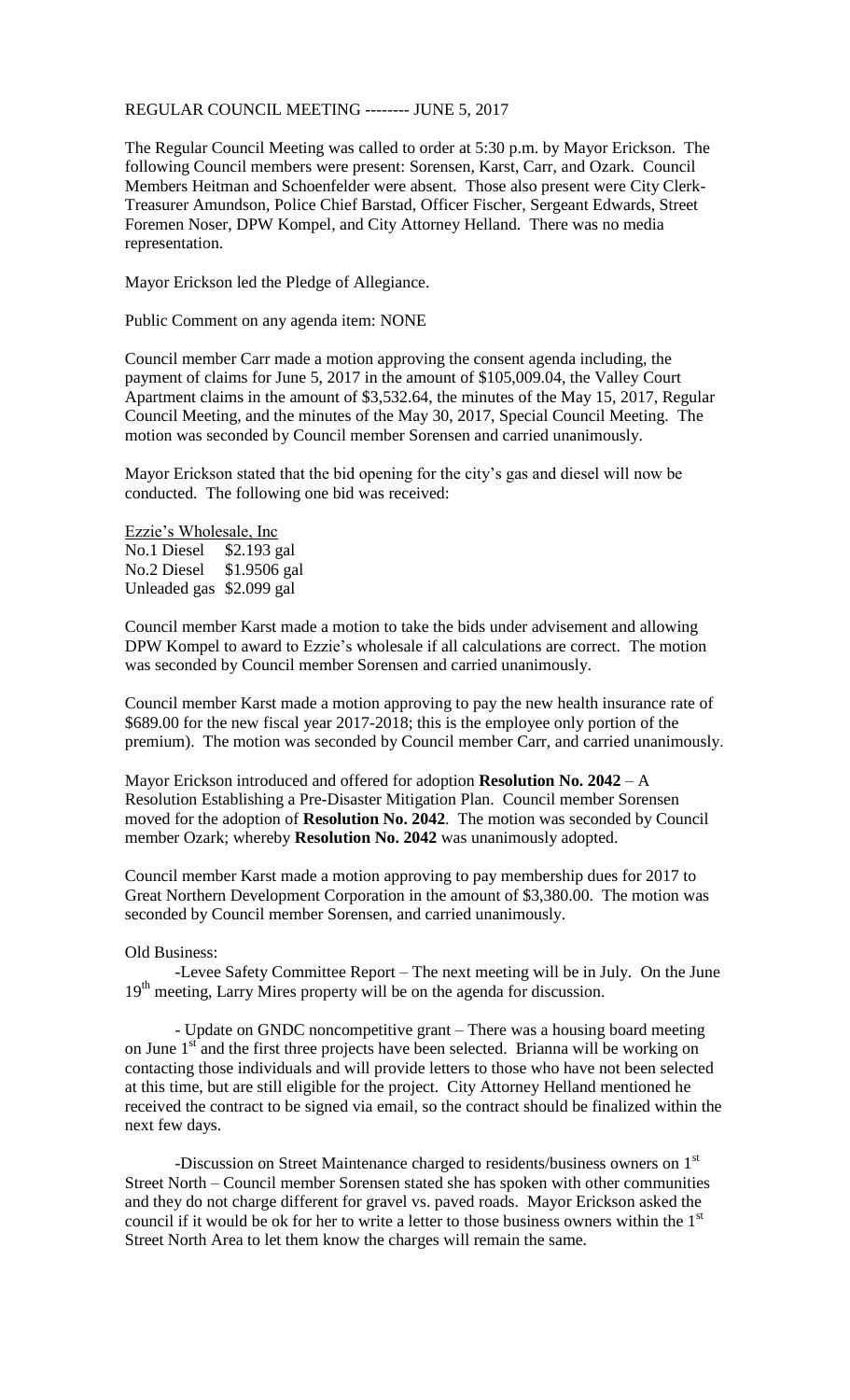## REGULAR COUNCIL MEETING -------- JUNE 5, 2017

The Regular Council Meeting was called to order at 5:30 p.m. by Mayor Erickson. The following Council members were present: Sorensen, Karst, Carr, and Ozark. Council Members Heitman and Schoenfelder were absent. Those also present were City Clerk-Treasurer Amundson, Police Chief Barstad, Officer Fischer, Sergeant Edwards, Street Foremen Noser, DPW Kompel, and City Attorney Helland. There was no media representation.

Mayor Erickson led the Pledge of Allegiance.

Public Comment on any agenda item: NONE

Council member Carr made a motion approving the consent agenda including, the payment of claims for June 5, 2017 in the amount of \$105,009.04, the Valley Court Apartment claims in the amount of \$3,532.64, the minutes of the May 15, 2017, Regular Council Meeting, and the minutes of the May 30, 2017, Special Council Meeting. The motion was seconded by Council member Sorensen and carried unanimously.

Mayor Erickson stated that the bid opening for the city's gas and diesel will now be conducted. The following one bid was received:

Ezzie's Wholesale, Inc No.1 Diesel \$2.193 gal No.2 Diesel \$1.9506 gal Unleaded gas \$2.099 gal

Council member Karst made a motion to take the bids under advisement and allowing DPW Kompel to award to Ezzie's wholesale if all calculations are correct. The motion was seconded by Council member Sorensen and carried unanimously.

Council member Karst made a motion approving to pay the new health insurance rate of \$689.00 for the new fiscal year 2017-2018; this is the employee only portion of the premium). The motion was seconded by Council member Carr, and carried unanimously.

Mayor Erickson introduced and offered for adoption **Resolution No. 2042** – A Resolution Establishing a Pre-Disaster Mitigation Plan. Council member Sorensen moved for the adoption of **Resolution No. 2042**. The motion was seconded by Council member Ozark; whereby **Resolution No. 2042** was unanimously adopted.

Council member Karst made a motion approving to pay membership dues for 2017 to Great Northern Development Corporation in the amount of \$3,380.00. The motion was seconded by Council member Sorensen, and carried unanimously.

## Old Business:

-Levee Safety Committee Report – The next meeting will be in July. On the June 19<sup>th</sup> meeting, Larry Mires property will be on the agenda for discussion.

- Update on GNDC noncompetitive grant – There was a housing board meeting on June 1<sup>st</sup> and the first three projects have been selected. Brianna will be working on contacting those individuals and will provide letters to those who have not been selected at this time, but are still eligible for the project. City Attorney Helland mentioned he received the contract to be signed via email, so the contract should be finalized within the next few days.

-Discussion on Street Maintenance charged to residents/business owners on 1<sup>st</sup> Street North – Council member Sorensen stated she has spoken with other communities and they do not charge different for gravel vs. paved roads. Mayor Erickson asked the council if it would be ok for her to write a letter to those business owners within the 1<sup>st</sup> Street North Area to let them know the charges will remain the same.